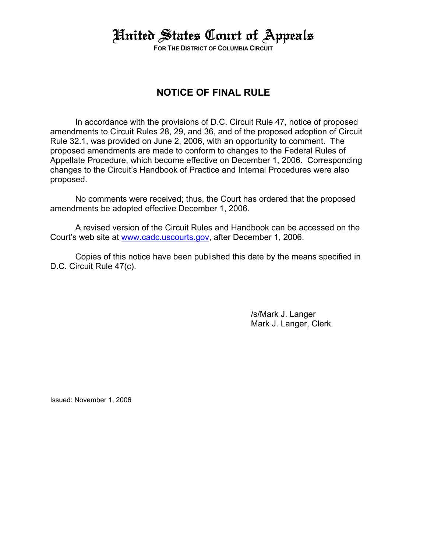## United States Court of Appeals

**FOR THE DISTRICT OF COLUMBIA CIRCUIT**

### **NOTICE OF FINAL RULE**

In accordance with the provisions of D.C. Circuit Rule 47, notice of proposed amendments to Circuit Rules 28, 29, and 36, and of the proposed adoption of Circuit Rule 32.1, was provided on June 2, 2006, with an opportunity to comment. The proposed amendments are made to conform to changes to the Federal Rules of Appellate Procedure, which become effective on December 1, 2006. Corresponding changes to the Circuit's Handbook of Practice and Internal Procedures were also proposed.

No comments were received; thus, the Court has ordered that the proposed amendments be adopted effective December 1, 2006.

A revised version of the Circuit Rules and Handbook can be accessed on the Court's web site at www.cadc.uscourts.gov, after December 1, 2006.

Copies of this notice have been published this date by the means specified in D.C. Circuit Rule 47(c).

> /s/Mark J. Langer Mark J. Langer, Clerk

Issued: November 1, 2006